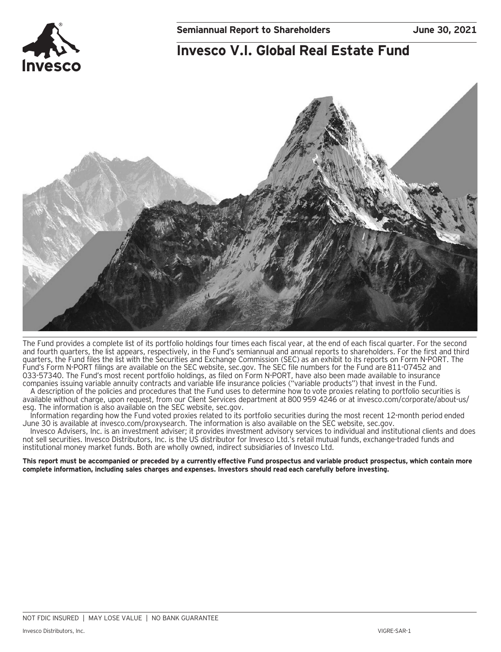# **Invesco V.I. Global Real Estate Fund**



The Fund provides a complete list of its portfolio holdings four times each fiscal year, at the end of each fiscal quarter. For the second and fourth quarters, the list appears, respectively, in the Fund's semiannual and annual reports to shareholders. For the first and third quarters, the Fund files the list with the Securities and Exchange Commission (SEC) as an exhibit to its reports on Form N-PORT. The Fund's Form N-PORT filings are available on the SEC website, sec.gov. The SEC file numbers for the Fund are 811-07452 and 033-57340. The Fund's most recent portfolio holdings, as filed on Form N-PORT, have also been made available to insurance companies issuing variable annuity contracts and variable life insurance policies ("variable products") that invest in the Fund.

A description of the policies and procedures that the Fund uses to determine how to vote proxies relating to portfolio securities is available without charge, upon request, from our Client Services department at 800 959 4246 or at invesco.com/corporate/about-us/ esg. The information is also available on the SEC website, sec.gov.

Information regarding how the Fund voted proxies related to its portfolio securities during the most recent 12-month period ended June 30 is available at invesco.com/proxysearch. The information is also available on the SEC website, sec.gov.

Invesco Advisers, Inc. is an investment adviser; it provides investment advisory services to individual and institutional clients and does not sell securities. Invesco Distributors, Inc. is the US distributor for Invesco Ltd.'s retail mutual funds, exchange-traded funds and institutional money market funds. Both are wholly owned, indirect subsidiaries of Invesco Ltd.

**This report must be accompanied or preceded by a currently effective Fund prospectus and variable product prospectus, which contain more complete information, including sales charges and expenses. Investors should read each carefully before investing.**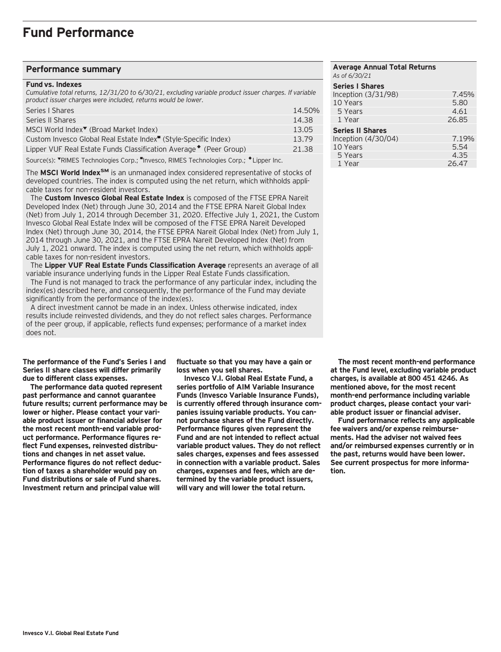### **Performance summary**

#### **Fund vs. Indexes**

*Cumulative total returns, 12/31/20 to 6/30/21, excluding variable product issuer charges. If variable product issuer charges were included, returns would be lower.*

| Series   Shares                                                                        | 14.50% |
|----------------------------------------------------------------------------------------|--------|
| Series II Shares                                                                       | 14.38  |
| MSCI World Index <sup>▼</sup> (Broad Market Index)                                     | 13.05  |
| Custom Invesco Global Real Estate Index <sup>"</sup> (Style-Specific Index)            | 13.79  |
| Lipper VUF Real Estate Funds Classification Average ♦ (Peer Group)                     | 21.38  |
| Source(s): VRIMES Technologies Corp.; "Invesco, RIMES Technologies Corp.; *Lipper Inc. |        |

The **MSCI World IndexSM** is an unmanaged index considered representative of stocks of developed countries. The index is computed using the net return, which withholds applicable taxes for non-resident investors.

 The **Custom Invesco Global Real Estate Index** is composed of the FTSE EPRA Nareit Developed Index (Net) through June 30, 2014 and the FTSE EPRA Nareit Global Index (Net) from July 1, 2014 through December 31, 2020. Effective July 1, 2021, the Custom Invesco Global Real Estate Index will be composed of the FTSE EPRA Nareit Developed Index (Net) through June 30, 2014, the FTSE EPRA Nareit Global Index (Net) from July 1, 2014 through June 30, 2021, and the FTSE EPRA Nareit Developed Index (Net) from July 1, 2021 onward. The index is computed using the net return, which withholds applicable taxes for non-resident investors.

 The **Lipper VUF Real Estate Funds Classification Average** represents an average of all variable insurance underlying funds in the Lipper Real Estate Funds classification.

 The Fund is not managed to track the performance of any particular index, including the index(es) described here, and consequently, the performance of the Fund may deviate significantly from the performance of the index(es).

 A direct investment cannot be made in an index. Unless otherwise indicated, index results include reinvested dividends, and they do not reflect sales charges. Performance of the peer group, if applicable, reflects fund expenses; performance of a market index does not.

**The performance of the Fund's Series I and Series II share classes will differ primarily due to different class expenses.**

**The performance data quoted represent past performance and cannot guarantee future results; current performance may be lower or higher. Please contact your variable product issuer or financial adviser for the most recent month-end variable product performance. Performance figures reflect Fund expenses, reinvested distributions and changes in net asset value. Performance figures do not reflect deduction of taxes a shareholder would pay on Fund distributions or sale of Fund shares. Investment return and principal value will**

**fluctuate so that you may have a gain or loss when you sell shares.**

**Invesco V.I. Global Real Estate Fund, a series portfolio of AIM Variable Insurance Funds (Invesco Variable Insurance Funds), is currently offered through insurance companies issuing variable products. You cannot purchase shares of the Fund directly. Performance figures given represent the Fund and are not intended to reflect actual variable product values. They do not reflect sales charges, expenses and fees assessed in connection with a variable product. Sales charges, expenses and fees, which are determined by the variable product issuers, will vary and will lower the total return.**

### **Average Annual Total Returns** *As of 6/30/21* **Series I Shares**  Inception (3/31/98) 7.45%<br>10 Years 5.80 10 Years 5 Years 4.61 1 Year 26.85 **Series II Shares**  Inception (4/30/04) 7.19%<br>10 Years 5.54 10 Years 5.54<br>15 Years 5.54 5 Years 4.35<br>1 Year 26.47 1 Year

**The most recent month-end performance at the Fund level, excluding variable product charges, is available at 800 451 4246. As mentioned above, for the most recent month-end performance including variable product charges, please contact your variable product issuer or financial adviser.**

**Fund performance reflects any applicable fee waivers and/or expense reimbursements. Had the adviser not waived fees and/or reimbursed expenses currently or in the past, returns would have been lower. See current prospectus for more information.**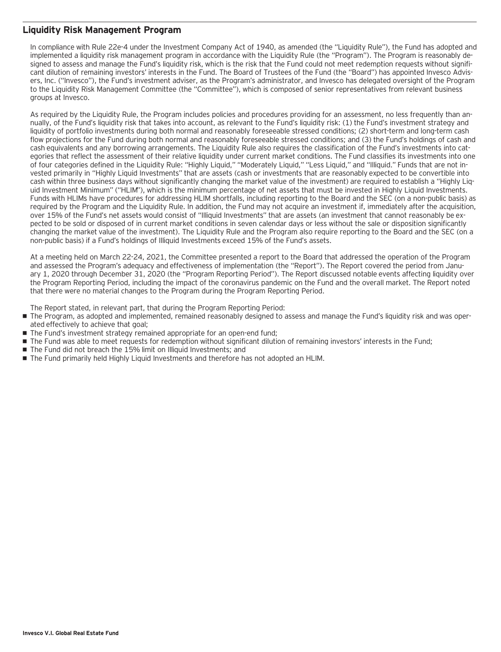## **Liquidity Risk Management Program**

In compliance with Rule 22e-4 under the Investment Company Act of 1940, as amended (the "Liquidity Rule"), the Fund has adopted and implemented a liquidity risk management program in accordance with the Liquidity Rule (the "Program"). The Program is reasonably designed to assess and manage the Fund's liquidity risk, which is the risk that the Fund could not meet redemption requests without significant dilution of remaining investors' interests in the Fund. The Board of Trustees of the Fund (the "Board") has appointed Invesco Advisers, Inc. ("Invesco"), the Fund's investment adviser, as the Program's administrator, and Invesco has delegated oversight of the Program to the Liquidity Risk Management Committee (the "Committee"), which is composed of senior representatives from relevant business groups at Invesco.

As required by the Liquidity Rule, the Program includes policies and procedures providing for an assessment, no less frequently than annually, of the Fund's liquidity risk that takes into account, as relevant to the Fund's liquidity risk: (1) the Fund's investment strategy and liquidity of portfolio investments during both normal and reasonably foreseeable stressed conditions; (2) short-term and long-term cash flow projections for the Fund during both normal and reasonably foreseeable stressed conditions; and (3) the Fund's holdings of cash and cash equivalents and any borrowing arrangements. The Liquidity Rule also requires the classification of the Fund's investments into categories that reflect the assessment of their relative liquidity under current market conditions. The Fund classifies its investments into one of four categories defined in the Liquidity Rule: "Highly Liquid," "Moderately Liquid," "Less Liquid," and "Illiquid." Funds that are not invested primarily in "Highly Liquid Investments" that are assets (cash or investments that are reasonably expected to be convertible into cash within three business days without significantly changing the market value of the investment) are required to establish a "Highly Liquid Investment Minimum" ("HLIM"), which is the minimum percentage of net assets that must be invested in Highly Liquid Investments. Funds with HLIMs have procedures for addressing HLIM shortfalls, including reporting to the Board and the SEC (on a non-public basis) as required by the Program and the Liquidity Rule. In addition, the Fund may not acquire an investment if, immediately after the acquisition, over 15% of the Fund's net assets would consist of "Illiquid Investments" that are assets (an investment that cannot reasonably be expected to be sold or disposed of in current market conditions in seven calendar days or less without the sale or disposition significantly changing the market value of the investment). The Liquidity Rule and the Program also require reporting to the Board and the SEC (on a non-public basis) if a Fund's holdings of Illiquid Investments exceed 15% of the Fund's assets.

At a meeting held on March 22-24, 2021, the Committee presented a report to the Board that addressed the operation of the Program and assessed the Program's adequacy and effectiveness of implementation (the "Report"). The Report covered the period from January 1, 2020 through December 31, 2020 (the "Program Reporting Period"). The Report discussed notable events affecting liquidity over the Program Reporting Period, including the impact of the coronavirus pandemic on the Fund and the overall market. The Report noted that there were no material changes to the Program during the Program Reporting Period.

The Report stated, in relevant part, that during the Program Reporting Period:

- The Program, as adopted and implemented, remained reasonably designed to assess and manage the Fund's liquidity risk and was operated effectively to achieve that goal;
- The Fund's investment strategy remained appropriate for an open-end fund;
- The Fund was able to meet requests for redemption without significant dilution of remaining investors' interests in the Fund;
- The Fund did not breach the 15% limit on Illiquid Investments; and
- The Fund primarily held Highly Liquid Investments and therefore has not adopted an HLIM.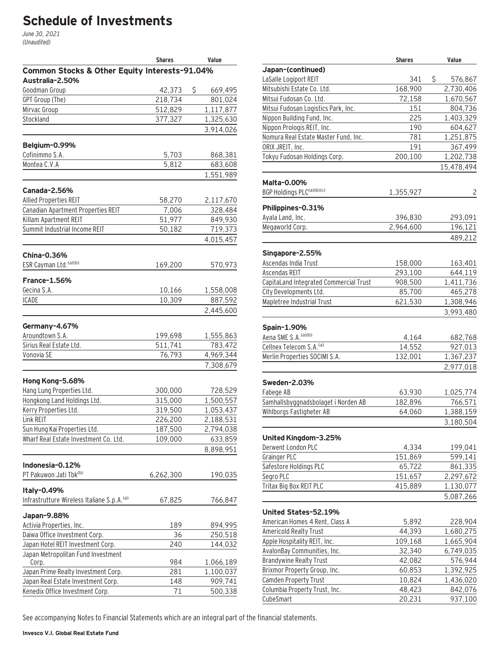# **Schedule of Investments**

June 30, 2021 (Unaudited)

|                                                        | <b>Shares</b> | Value         |
|--------------------------------------------------------|---------------|---------------|
| Common Stocks & Other Equity Interests-91.04%          |               |               |
| Australia-2.50%                                        |               |               |
| Goodman Group                                          | 42,373        | \$<br>669,495 |
| GPT Group (The)                                        | 218,734       | 801,024       |
| Mirvac Group                                           | 512,829       | 1,117,877     |
| Stockland                                              | 377,327       | 1,325,630     |
|                                                        |               | 3,914,026     |
| Belgium-0.99%                                          |               |               |
| Cofinimmo S.A.                                         | 5,703         | 868,381       |
| Montea C.V.A                                           | 5,812         | 683,608       |
|                                                        |               | 1,551,989     |
|                                                        |               |               |
| Canada-2.56%                                           |               |               |
| <b>Allied Properties REIT</b>                          | 58,270        | 2,117,670     |
| Canadian Apartment Properties REIT                     | 7,006         | 328,484       |
| Killam Apartment REIT                                  | 51,977        | 849,930       |
| Summit Industrial Income REIT                          | 50,182        | 719,373       |
|                                                        |               | 4,015,457     |
| <b>China-0.36%</b>                                     |               |               |
| ESR Cayman Ltd. (a)(b)                                 | 169,200       | 570,973       |
| <b>France-1.56%</b>                                    |               |               |
| Gecina S.A.                                            | 10,166        | 1,558,008     |
| <b>ICADE</b>                                           | 10,309        | 887,592       |
|                                                        |               | 2,445,600     |
| Germany-4.67%                                          |               |               |
| Aroundtown S.A.                                        | 199,698       | 1,555,863     |
| Sirius Real Estate Ltd.                                | 511,741       | 783,472       |
| Vonovia SE                                             | 76,793        | 4,969,344     |
|                                                        |               | 7,308,679     |
|                                                        |               |               |
| Hong Kong-5.68%                                        |               |               |
| Hang Lung Properties Ltd.                              | 300,000       | 728,529       |
| Hongkong Land Holdings Ltd.                            | 315,000       | 1,500,557     |
| Kerry Properties Ltd.                                  | 319,500       | 1,053,437     |
| Link REIT                                              | 226,200       | 2,188,531     |
| Sun Hung Kai Properties Ltd.                           | 187,500       | 2,794,038     |
| Wharf Real Estate Investment Co. Ltd.                  | 109,000       | 633,859       |
|                                                        |               | 8,898,951     |
| Indonesia-0.12%                                        |               |               |
| PT Pakuwon Jati Tbk <sup>(b)</sup>                     | 6,262,300     | 190,035       |
|                                                        |               |               |
| Italy-0.49%                                            |               |               |
| Infrastrutture Wireless Italiane S.p.A. <sup>(a)</sup> | 67,825        | 766,847       |
| Japan-9.88%                                            |               |               |
| Activia Properties, Inc.                               | 189           | 894,995       |
| Daiwa Office Investment Corp.                          | 36            | 250,518       |
| Japan Hotel REIT Investment Corp.                      | 240           | 144,032       |
| Japan Metropolitan Fund Investment                     |               |               |
| Corp.                                                  | 984           | 1,066,189     |
| Japan Prime Realty Investment Corp.                    | 281           | 1,100,037     |
| Japan Real Estate Investment Corp.                     | 148           | 909,741       |
| Kenedix Office Investment Corp.                        | 71            | 500,338       |

|                                        | <b>Shares</b> | Value                   |
|----------------------------------------|---------------|-------------------------|
| Japan-(continued)                      |               |                         |
| LaSalle Logiport REIT                  | 341           | \$<br>576,867           |
| Mitsubishi Estate Co. Ltd.             | 168,900       | 2,730,406               |
| Mitsui Fudosan Co. Ltd.                | 72,158        | 1,670,567               |
| Mitsui Fudosan Logistics Park, Inc.    | 151           | 804,736                 |
| Nippon Building Fund, Inc.             | 225           | 1,403,329               |
| Nippon Prologis REIT, Inc.             | 190           | 604,627                 |
| Nomura Real Estate Master Fund, Inc.   | 781           | 1,251,875               |
| ORIX JREIT, Inc.                       | 191           | 367,499                 |
| Tokyu Fudosan Holdings Corp.           | 200,100       | 1,202,738<br>15,478,494 |
| Malta-0.00%                            |               |                         |
| BGP Holdings PLC <sup>(a)(b)(c)</sup>  | 1,355,927     | $\overline{c}$          |
| Philippines-0.31%                      |               |                         |
| Ayala Land, Inc.                       | 396,830       | 293,091                 |
| Megaworld Corp.                        | 2,964,600     | 196,121                 |
|                                        |               | 489,212                 |
| Singapore-2.55%                        |               |                         |
| Ascendas India Trust                   | 158,000       | 163,401                 |
| Ascendas REIT                          | 293,100       | 644,119                 |
| CapitaLand Integrated Commercial Trust | 908,500       | 1,411,736               |
| City Developments Ltd.                 | 85,700        | 465,278                 |
| Mapletree Industrial Trust             | 621,530       | 1,308,946               |
|                                        |               | 3,993,480               |
| Spain-1.90%                            |               |                         |
| Aena SME S.A. (a)(b)                   | 4,164         | 682,768                 |
| Cellnex Telecom S.A. <sup>(a)</sup>    | 14,552        | 927,013                 |
| Merlin Properties SOCIMI S.A.          | 132,001       | 1,367,237               |
|                                        |               | 2,977,018               |
| Sweden-2.03%                           |               |                         |
| Fabege AB                              | 63,930        | 1,025,774               |
| Samhallsbyggnadsbolaget i Norden AB    | 182,896       | 766,571                 |
| Wihlborgs Fastigheter AB               | 64,060        | 1,388,159               |
|                                        |               | 3,180,504               |
| United Kingdom-3.25%                   |               |                         |
| Derwent London PLC                     | 4,334         | 199,041                 |
| Grainger PLC                           | 151,869       | 599,141                 |
| Safestore Holdings PLC                 | 65,722        | 861,335                 |
| Segro PLC                              | 151,657       | 2,297,672               |
| Tritax Big Box REIT PLC                | 415,889       | 1,130,077               |
|                                        |               | 5,087,266               |
| United States-52.19%                   |               |                         |
| American Homes 4 Rent, Class A         | 5,892         | 228,904                 |
| <b>Americold Realty Trust</b>          | 44,393        | 1,680,275               |
| Apple Hospitality REIT, Inc.           | 109,168       | 1,665,904               |
| AvalonBay Communities, Inc.            | 32,340        | 6,749,035               |
| <b>Brandywine Realty Trust</b>         | 42,082        | 576,944                 |
| Brixmor Property Group, Inc.           | 60,853        | 1,392,925               |
| Camden Property Trust                  | 10,824        | 1,436,020               |
| Columbia Property Trust, Inc.          | 48,423        | 842,076                 |
| CubeSmart                              | 20,231        | 937,100                 |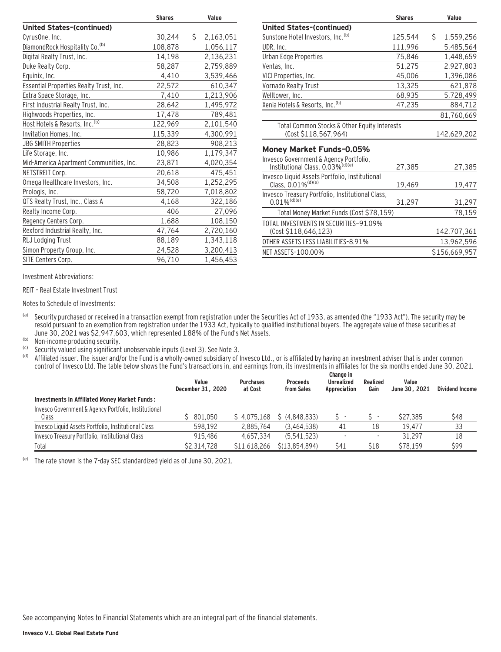|                                            | <b>Shares</b> |     | Value     |
|--------------------------------------------|---------------|-----|-----------|
| United States-(continued)                  |               |     |           |
| CyrusOne, Inc.                             | 30,244        | \$. | 2,163,051 |
| DiamondRock Hospitality Co. <sup>(b)</sup> | 108,878       |     | 1,056,117 |
| Digital Realty Trust, Inc.                 | 14,198        |     | 2,136,231 |
| Duke Realty Corp.                          | 58,287        |     | 2,759,889 |
| Equinix, Inc.                              | 4,410         |     | 3,539,466 |
| Essential Properties Realty Trust, Inc.    | 22,572        |     | 610,347   |
| Extra Space Storage, Inc.                  | 7,410         |     | 1,213,906 |
| First Industrial Realty Trust, Inc.        | 28,642        |     | 1,495,972 |
| Highwoods Properties, Inc.                 | 17,478        |     | 789,481   |
| Host Hotels & Resorts, Inc. <sup>(b)</sup> | 122,969       |     | 2,101,540 |
| Invitation Homes, Inc.                     | 115,339       |     | 4,300,991 |
| <b>JBG SMITH Properties</b>                | 28,823        |     | 908,213   |
| Life Storage, Inc.                         | 10,986        |     | 1,179,347 |
| Mid-America Apartment Communities, Inc.    | 23,871        |     | 4,020,354 |
| NETSTREIT Corp.                            | 20,618        |     | 475,451   |
| Omega Healthcare Investors, Inc.           | 34,508        |     | 1,252,295 |
| Prologis, Inc.                             | 58,720        |     | 7,018,802 |
| QTS Realty Trust, Inc., Class A            | 4,168         |     | 322,186   |
| Realty Income Corp.                        | 406           |     | 27,096    |
| Regency Centers Corp.                      | 1,688         |     | 108,150   |
| Rexford Industrial Realty, Inc.            | 47,764        |     | 2,720,160 |
| RLJ Lodging Trust                          | 88,189        |     | 1,343,118 |
| Simon Property Group, Inc.                 | 24,528        |     | 3,200,413 |
| SITE Centers Corp.                         | 96,710        |     | 1,456,453 |
|                                            |               |     |           |

| <b>Shares</b>                                              | Value           |
|------------------------------------------------------------|-----------------|
|                                                            |                 |
| 125,544                                                    | \$<br>1,559,256 |
| 111,996                                                    | 5,485,564       |
| 75,846                                                     | 1,448,659       |
| 51,275                                                     | 2,927,803       |
| 45.006                                                     | 1,396,086       |
| 13,325                                                     | 621,878         |
| 68,935                                                     | 5,728,499       |
| 47.235                                                     | 884,712         |
|                                                            | 81,760,669      |
| Total Common Stocks & Other Equity Interests               | 142,629,202     |
|                                                            |                 |
| 27,385                                                     | 27,385          |
| 19,469                                                     | 19,477          |
| Invesco Treasury Portfolio, Institutional Class,<br>31,297 | 31,297          |
| Total Money Market Funds (Cost \$78,159)                   | 78,159          |
|                                                            | 142,707,361     |
|                                                            | 13,962,596      |
|                                                            | \$156,669,957   |
|                                                            |                 |

Investment Abbreviations:

REIT – Real Estate Investment Trust

Notes to Schedule of Investments:

(a) Security purchased or received in a transaction exempt from registration under the Securities Act of 1933, as amended (the "1933 Act"). The security may be resold pursuant to an exemption from registration under the 1933 Act, typically to qualified institutional buyers. The aggregate value of these securities at June 30, 2021 was \$2,947,603, which represented 1.88% of the Fund's Net Assets.

(b) Non-income producing security.

<sup>(c)</sup> Security valued using significant unobservable inputs (Level 3). See Note 3.<br><sup>(d)</sup> Affiliated issuer. The issuer and/or the Fund is a wholly-owned subsidiary of I

Affiliated issuer. The issuer and/or the Fund is a wholly-owned subsidiary of Invesco Ltd., or is affiliated by having an investment adviser that is under common control of Invesco Ltd. The table below shows the Fund's transactions in, and earnings from, its investments in affiliates for the six months ended June 30, 2021.

|                                                               | Value<br>December 31, 2020 | <b>Purchases</b><br>at Cost | <b>Proceeds</b><br>from Sales | Change in<br><b>Unrealized</b><br>Appreciation | Realized<br>Gain | Value<br>June 30, 2021 | Dividend Income |
|---------------------------------------------------------------|----------------------------|-----------------------------|-------------------------------|------------------------------------------------|------------------|------------------------|-----------------|
| Investments in Affiliated Money Market Funds:                 |                            |                             |                               |                                                |                  |                        |                 |
| Invesco Government & Agency Portfolio, Institutional<br>Class | \$801.050                  | \$4.075.168                 | \$(4.848.833)                 |                                                |                  | \$27,385               | \$48            |
| Invesco Liquid Assets Portfolio, Institutional Class          | 598.192                    | 2.885.764                   | (3.464.538)                   | 41                                             | 18               | 19.477                 | 33              |
| Invesco Treasury Portfolio, Institutional Class               | 915.486                    | 4.657.334                   | (5.541.523)                   |                                                |                  | 31.297                 | 18              |
| Total                                                         | \$2.314.728                | \$11.618.266                | \$(13,854,894)                | \$41                                           | \$18             | \$78.159               | \$99            |

(e) The rate shown is the 7-day SEC standardized yield as of June 30, 2021.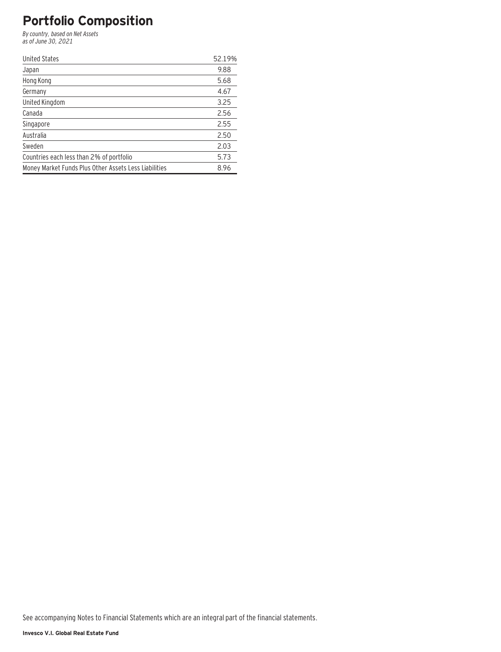# **Portfolio Composition**

By country, based on Net Assets as of June 30, 2021

| <b>United States</b>                                  | 52.19% |
|-------------------------------------------------------|--------|
| Japan                                                 | 9.88   |
| Hong Kong                                             | 5.68   |
| Germany                                               | 4.67   |
| United Kingdom                                        | 3.25   |
| Canada                                                | 2.56   |
| Singapore                                             | 2.55   |
| Australia                                             | 2.50   |
| Sweden                                                | 2.03   |
| Countries each less than 2% of portfolio              | 5.73   |
| Money Market Funds Plus Other Assets Less Liabilities | 8.96   |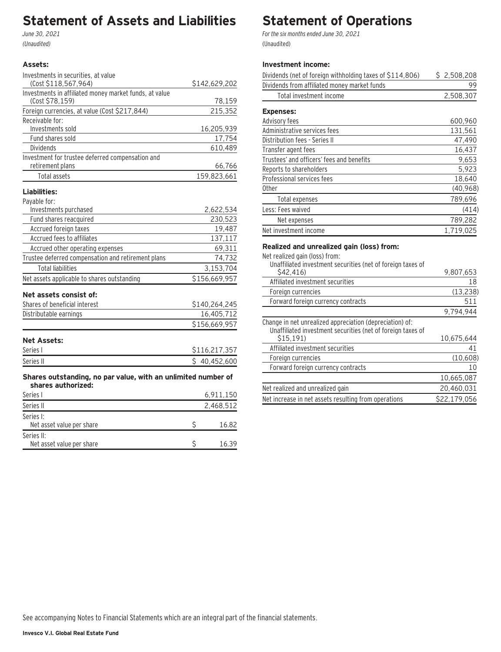# **Statement of Assets and Liabilities**

June 30, 2021 (Unaudited)

### **Assets:**

| Investments in securities, at value                    |               |
|--------------------------------------------------------|---------------|
| (Cost \$118,567,964)                                   | \$142,629,202 |
| Investments in affiliated money market funds, at value |               |
| (Cost \$78,159)                                        | 78,159        |
| Foreign currencies, at value (Cost \$217,844)          | 215,352       |
| Receivable for:                                        |               |
| Investments sold                                       | 16,205,939    |
| Fund shares sold                                       | 17,754        |
| <b>Dividends</b>                                       | 610,489       |
| Investment for trustee deferred compensation and       |               |
| retirement plans                                       | 66,766        |
| Total assets                                           | 159,823,661   |
| Liabilities:                                           |               |
| Payable for:                                           |               |
| Investments purchased                                  | 2,622,534     |
| Fund shares reacquired                                 | 230,523       |
| Accrued foreign taxes                                  | 19,487        |
| Accrued fees to affiliates                             | 137,117       |
| Accrued other operating expenses                       | 69,311        |
| Trustee deferred compensation and retirement plans     | 74,732        |
| <b>Total liabilities</b>                               | 3,153,704     |
| Net assets applicable to shares outstanding            | \$156,669,957 |
| Net assets consist of:                                 |               |
| Shares of beneficial interest                          | \$140,264,245 |
| Distributable earnings                                 | 16,405,712    |
|                                                        | \$156,669,957 |
| <b>Net Assets:</b>                                     |               |
|                                                        |               |

| Series I  | \$116.217.357 |
|-----------|---------------|
| Series II | \$40,452,600  |
|           |               |

**Shares outstanding, no par value, with an unlimited number of shares authorized:**

| Series I                                | 6,911,150 |
|-----------------------------------------|-----------|
| Series II                               | 2,468,512 |
| Series I:<br>Net asset value per share  | 16.82     |
| Series II:<br>Net asset value per share | 16.39     |

# **Statement of Operations**

For the six months ended June 30, 2021 (Unaudited)

## **Investment income:**

| Dividends (net of foreign withholding taxes of \$114,806) | \$2,508,208 |
|-----------------------------------------------------------|-------------|
| Dividends from affiliated money market funds              | 99          |
| Total investment income                                   | 2,508,307   |
| <b>Expenses:</b>                                          |             |
| Advisory fees                                             | 600,960     |
| Administrative services fees                              | 131,561     |
| Distribution fees - Series II                             | 47,490      |
| Transfer agent fees                                       | 16,437      |
| Trustees' and officers' fees and benefits                 | 9.653       |
| Reports to shareholders                                   | 5,923       |
| Professional services fees                                | 18,640      |
| 0ther                                                     | (40, 968)   |
| Total expenses                                            | 789,696     |
| Less: Fees waived                                         | (414)       |
| Net expenses                                              | 789,282     |
| Net investment income                                     | 1,719,025   |
|                                                           |             |

### **Realized and unrealized gain (loss) from:**

Net realized gain (loss) from:

| Unaffiliated investment securities (net of foreign taxes of                                                             |              |
|-------------------------------------------------------------------------------------------------------------------------|--------------|
| S42.416)                                                                                                                | 9.807.653    |
| Affiliated investment securities                                                                                        | 18           |
| Foreign currencies                                                                                                      | (13, 238)    |
| Forward foreign currency contracts                                                                                      | 511          |
|                                                                                                                         | 9,794,944    |
| Change in net unrealized appreciation (depreciation) of:<br>Unaffiliated investment securities (net of foreign taxes of |              |
| \$15.191                                                                                                                | 10.675.644   |
| Affiliated investment securities                                                                                        | 41           |
| Foreign currencies                                                                                                      | (10, 608)    |
| Forward foreign currency contracts                                                                                      | 10           |
|                                                                                                                         | 10,665,087   |
| Net realized and unrealized gain                                                                                        | 20,460,031   |
| Net increase in net assets resulting from operations                                                                    | \$22.179.056 |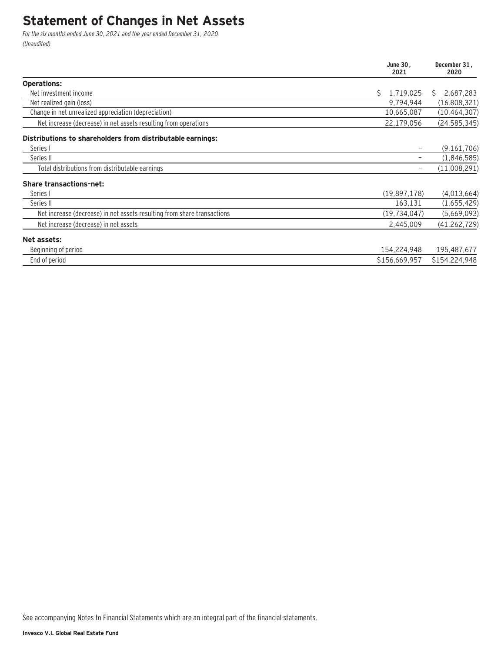# **Statement of Changes in Net Assets**

For the six months ended June 30, 2021 and the year ended December 31, 2020 (Unaudited)

|                                                                         | June 30,<br>2021 | December 31,<br>2020 |
|-------------------------------------------------------------------------|------------------|----------------------|
| <b>Operations:</b>                                                      |                  |                      |
| Net investment income                                                   | Ś.<br>1,719,025  | 2,687,283<br>S.      |
| Net realized gain (loss)                                                | 9,794,944        | (16,808,321)         |
| Change in net unrealized appreciation (depreciation)                    | 10,665,087       | (10, 464, 307)       |
| Net increase (decrease) in net assets resulting from operations         | 22,179,056       | (24, 585, 345)       |
| Distributions to shareholders from distributable earnings:              |                  |                      |
| Series I                                                                |                  | (9, 161, 706)        |
| Series II                                                               |                  | (1,846,585)          |
| Total distributions from distributable earnings                         |                  | (11,008,291)         |
| <b>Share transactions-net:</b>                                          |                  |                      |
| Series I                                                                | (19,897,178)     | (4,013,664)          |
| Series II                                                               | 163,131          | (1,655,429)          |
| Net increase (decrease) in net assets resulting from share transactions | (19, 734, 047)   | (5,669,093)          |
| Net increase (decrease) in net assets                                   | 2,445,009        | (41, 262, 729)       |
| Net assets:                                                             |                  |                      |
| Beginning of period                                                     | 154,224,948      | 195,487,677          |
| End of period                                                           | \$156,669,957    | \$154,224,948        |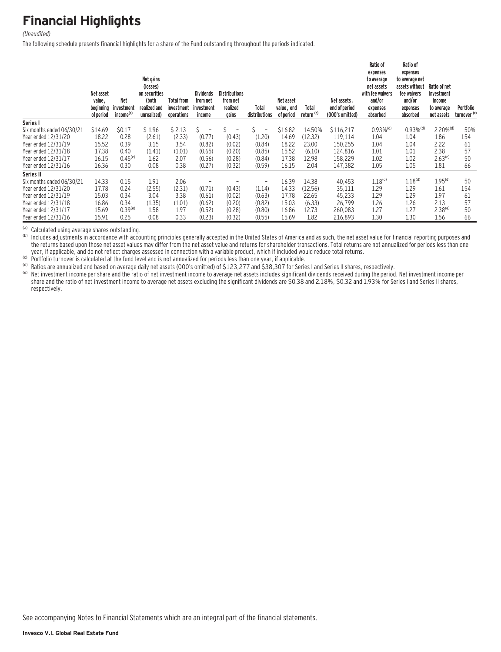# **Financial Highlights**

#### (Unaudited)

The following schedule presents financial highlights for a share of the Fund outstanding throughout the periods indicated.

|                           | Net asset<br>value,<br>beginning<br>of period | <b>Net</b><br>investment<br>income <sup>(a)</sup> | Net gains<br>(losses)<br>on securities<br>(both<br>realized and<br>unrealized) | Total from<br>investment<br>operations | <b>Dividends</b><br>from net<br>investment<br>income | <b>Distributions</b><br>from net<br>realized<br>gains | Total<br>distributions         | Net asset<br>value, end<br>of period | Total<br>return <sup>(b)</sup> | Net assets,<br>end of period<br>(000's omitted) | Ratio of<br>expenses<br>to average<br>net assets<br>with fee waivers<br>and/or<br>expenses<br>absorbed | Ratio of<br>expenses<br>to average net<br>assets without<br>fee waivers<br>and/or<br>expenses<br>absorbed | Ratio of net<br>investment<br>income<br>to average<br>net assets | Portfolio<br>turnover <sup>(c)</sup> |
|---------------------------|-----------------------------------------------|---------------------------------------------------|--------------------------------------------------------------------------------|----------------------------------------|------------------------------------------------------|-------------------------------------------------------|--------------------------------|--------------------------------------|--------------------------------|-------------------------------------------------|--------------------------------------------------------------------------------------------------------|-----------------------------------------------------------------------------------------------------------|------------------------------------------------------------------|--------------------------------------|
| Series I                  |                                               |                                                   |                                                                                |                                        |                                                      |                                                       |                                |                                      |                                |                                                 |                                                                                                        |                                                                                                           |                                                                  |                                      |
| Six months ended 06/30/21 | \$14.69                                       | \$0.17                                            | \$1.96                                                                         | \$2.13                                 | Ś.<br>$\overline{\phantom{a}}$                       |                                                       | \$<br>$\overline{\phantom{a}}$ | \$16.82                              | 14.50%                         | \$116.217                                       | $0.93\%$ <sup>(d)</sup>                                                                                | $0.93\%$ <sup>(d)</sup>                                                                                   | $2.20\%$ <sup>(d)</sup>                                          | 50%                                  |
| Year ended 12/31/20       | 18.22                                         | 0.28                                              | (2.61)                                                                         | (2.33)                                 | (0.77)                                               | (0.43)                                                | (1.20)                         | 14.69                                | (12.32)                        | 119.114                                         | 1.04                                                                                                   | 1.04                                                                                                      | 1.86                                                             | 154                                  |
| Year ended 12/31/19       | 15.52                                         | 0.39                                              | 3.15                                                                           | 3.54                                   | (0.82)                                               | (0.02)                                                | (0.84)                         | 18.22                                | 23.00                          | 150,255                                         | 1.04                                                                                                   | 1.04                                                                                                      | 2.22                                                             | 61                                   |
| Year ended 12/31/18       | 17.38                                         | 0.40                                              | (1.41)                                                                         | (1.01)                                 | (0.65)                                               | (0.20)                                                | (0.85)                         | 15.52                                | (6.10)                         | 124,816                                         | 1.01                                                                                                   | 1.01                                                                                                      | 2.38                                                             | 57                                   |
| Year ended 12/31/17       | 16.15                                         | $0.45^{(e)}$                                      | 1.62                                                                           | 2.07                                   | (0.56)                                               | (0.28)                                                | (0.84)                         | 17.38                                | 12.98                          | 158,229                                         | 1.02                                                                                                   | 1.02                                                                                                      | $2.63^{(e)}$                                                     | 50                                   |
| Year ended 12/31/16       | 16.36                                         | 0.30                                              | 0.08                                                                           | 0.38                                   | (0.27)                                               | (0.32)                                                | (0.59)                         | 16.15                                | 2.04                           | 147,382                                         | 1.05                                                                                                   | 1.05                                                                                                      | 1.81                                                             | 66                                   |
| Series II                 |                                               |                                                   |                                                                                |                                        |                                                      |                                                       |                                |                                      |                                |                                                 |                                                                                                        |                                                                                                           |                                                                  |                                      |
| Six months ended 06/30/21 | 14.33                                         | 0.15                                              | 1.91                                                                           | 2.06                                   |                                                      |                                                       | $\overline{\phantom{0}}$       | 16.39                                | 14.38                          | 40,453                                          | $1.18^{(d)}$                                                                                           | 1.18 <sup>(d)</sup>                                                                                       | 1.95 <sup>(d)</sup>                                              | 50                                   |
| Year ended 12/31/20       | 17.78                                         | 0.24                                              | (2.55)                                                                         | (2.31)                                 | (0.71)                                               | (0.43)                                                | (1.14)                         | 14.33                                | (12.56)                        | 35,111                                          | 1.29                                                                                                   | 1.29                                                                                                      | 1.61                                                             | 154                                  |
| Year ended 12/31/19       | 15.03                                         | 0.34                                              | 3.04                                                                           | 3.38                                   | (0.61)                                               | (0.02)                                                | (0.63)                         | 17.78                                | 22.65                          | 45,233                                          | 1.29                                                                                                   | 1.29                                                                                                      | 1.97                                                             | 61                                   |
| Year ended 12/31/18       | 16.86                                         | 0.34                                              | (1.35)                                                                         | (1.01)                                 | (0.62)                                               | (0.20)                                                | (0.82)                         | 15.03                                | (6.33)                         | 26,799                                          | 1.26                                                                                                   | 1.26                                                                                                      | 2.13                                                             | 57                                   |
| Year ended 12/31/17       | 15.69                                         | $0.39^{(e)}$                                      | 1.58                                                                           | 1.97                                   | (0.52)                                               | (0.28)                                                | (0.80)                         | 16.86                                | 12.73                          | 260,083                                         | 1.27                                                                                                   | 1.27                                                                                                      | $2.38^{(e)}$                                                     | 50                                   |
| Year ended 12/31/16       | 15.91                                         | 0.25                                              | 0.08                                                                           | 0.33                                   | (0.23)                                               | (0.32)                                                | (0.55)                         | 15.69                                | 1.82                           | 216,893                                         | 1.30                                                                                                   | 1.30                                                                                                      | 1.56                                                             | 66                                   |

(a) Calculated using average shares outstanding.<br>(b) Includes adjustments in accordance with accounting principles generally accepted in the United States of America and as such, the net asset value for financial reporting the returns based upon those net asset values may differ from the net asset value and returns for shareholder transactions. Total returns are not annualized for periods less than one year, if applicable, and do not reflect

(b) Portfolio turnover is calculated at the fund level and is not annualized for periods less than one year, if applicable.<br>(d) Ratios are annualized and based on average daily net assets (000's omitted) of \$123,277 and \$3 share and the ratio of net investment income to average net assets excluding the significant dividends are \$0.38 and 2.18%, \$0.32 and 1.93% for Series I and Series II shares, respectively.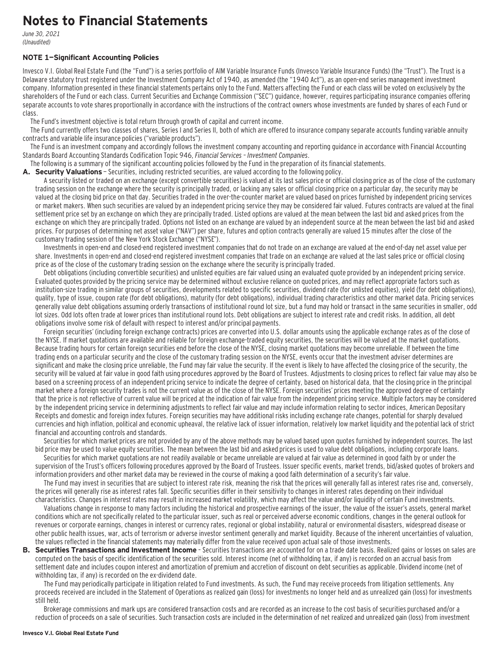# **Notes to Financial Statements**

June 30, 2021 (Unaudited)

#### **NOTE 1—Significant Accounting Policies**

Invesco V.I. Global Real Estate Fund (the "Fund") is a series portfolio of AIM Variable Insurance Funds (Invesco Variable Insurance Funds) (the "Trust"). The Trust is a Delaware statutory trust registered under the Investment Company Act of 1940, as amended (the "1940 Act"), as an open-end series management investment company. Information presented in these financial statements pertains only to the Fund. Matters affecting the Fund or each class will be voted on exclusively by the shareholders of the Fund or each class. Current Securities and Exchange Commission ("SEC") guidance, however, requires participating insurance companies offering separate accounts to vote shares proportionally in accordance with the instructions of the contract owners whose investments are funded by shares of each Fund or class.

The Fund's investment objective is total return through growth of capital and current income.

The Fund currently offers two classes of shares, Series I and Series II, both of which are offered to insurance company separate accounts funding variable annuity contracts and variable life insurance policies ("variable products").

The Fund is an investment company and accordingly follows the investment company accounting and reporting guidance in accordance with Financial Accounting Standards Board Accounting Standards Codification Topic 946, Financial Services – Investment Companies.

The following is a summary of the significant accounting policies followed by the Fund in the preparation of its financial statements.

**A. Security Valuations** — Securities, including restricted securities, are valued according to the following policy.

A security listed or traded on an exchange (except convertible securities) is valued at its last sales price or official closing price as of the close of the customary trading session on the exchange where the security is principally traded, or lacking any sales or official closing price on a particular day, the security may be valued at the closing bid price on that day. Securities traded in the over-the-counter market are valued based on prices furnished by independent pricing services or market makers. When such securities are valued by an independent pricing service they may be considered fair valued. Futures contracts are valued at the final settlement price set by an exchange on which they are principally traded. Listed options are valued at the mean between the last bid and asked prices from the exchange on which they are principally traded. Options not listed on an exchange are valued by an independent source at the mean between the last bid and asked prices. For purposes of determining net asset value ("NAV") per share, futures and option contracts generally are valued 15 minutes after the close of the customary trading session of the New York Stock Exchange ("NYSE").

Investments in open-end and closed-end registered investment companies that do not trade on an exchange are valued at the end-of-day net asset value per share. Investments in open-end and closed-end registered investment companies that trade on an exchange are valued at the last sales price or official closing price as of the close of the customary trading session on the exchange where the security is principally traded.

Debt obligations (including convertible securities) and unlisted equities are fair valued using an evaluated quote provided by an independent pricing service. Evaluated quotes provided by the pricing service may be determined without exclusive reliance on quoted prices, and may reflect appropriate factors such as institution-size trading in similar groups of securities, developments related to specific securities, dividend rate (for unlisted equities), yield (for debt obligations), quality, type of issue, coupon rate (for debt obligations), maturity (for debt obligations), individual trading characteristics and other market data. Pricing services generally value debt obligations assuming orderly transactions of institutional round lot size, but a fund may hold or transact in the same securities in smaller, odd lot sizes. Odd lots often trade at lower prices than institutional round lots. Debt obligations are subject to interest rate and credit risks. In addition, all debt obligations involve some risk of default with respect to interest and/or principal payments.

Foreign securities' (including foreign exchange contracts) prices are converted into U.S. dollar amounts using the applicable exchange rates as of the close of the NYSE. If market quotations are available and reliable for foreign exchange-traded equity securities, the securities will be valued at the market quotations. Because trading hours for certain foreign securities end before the close of the NYSE, closing market quotations may become unreliable. If between the time trading ends on a particular security and the close of the customary trading session on the NYSE, events occur that the investment adviser determines are significant and make the closing price unreliable, the Fund may fair value the security. If the event is likely to have affected the closing price of the security, the security will be valued at fair value in good faith using procedures approved by the Board of Trustees. Adjustments to closing prices to reflect fair value may also be based on a screening process of an independent pricing service to indicate the degree of certainty, based on historical data, that the closing price in the principal market where a foreign security trades is not the current value as of the close of the NYSE. Foreign securities' prices meeting the approved degree of certainty that the price is not reflective of current value will be priced at the indication of fair value from the independent pricing service. Multiple factors may be considered by the independent pricing service in determining adjustments to reflect fair value and may include information relating to sector indices, American Depositary Receipts and domestic and foreign index futures. Foreign securities may have additional risks including exchange rate changes, potential for sharply devalued currencies and high inflation, political and economic upheaval, the relative lack of issuer information, relatively low market liquidity and the potential lack of strict financial and accounting controls and standards.

Securities for which market prices are not provided by any of the above methods may be valued based upon quotes furnished by independent sources. The last bid price may be used to value equity securities. The mean between the last bid and asked prices is used to value debt obligations, including corporate loans.

Securities for which market quotations are not readily available or became unreliable are valued at fair value as determined in good faith by or under the supervision of the Trust's officers following procedures approved by the Board of Trustees. Issuer specific events, market trends, bid/asked quotes of brokers and information providers and other market data may be reviewed in the course of making a good faith determination of a security's fair value.

The Fund may invest in securities that are subject to interest rate risk, meaning the risk that the prices will generally fall as interest rates rise and, conversely, the prices will generally rise as interest rates fall. Specific securities differ in their sensitivity to changes in interest rates depending on their individual characteristics. Changes in interest rates may result in increased market volatility, which may affect the value and/or liquidity of certain Fund investments.

Valuations change in response to many factors including the historical and prospective earnings of the issuer, the value of the issuer's assets, general market conditions which are not specifically related to the particular issuer, such as real or perceived adverse economic conditions, changes in the general outlook for revenues or corporate earnings, changes in interest or currency rates, regional or global instability, natural or environmental disasters, widespread disease or other public health issues, war, acts of terrorism or adverse investor sentiment generally and market liquidity. Because of the inherent uncertainties of valuation, the values reflected in the financial statements may materially differ from the value received upon actual sale of those investments.

**B. Securities Transactions and Investment Income** - Securities transactions are accounted for on a trade date basis. Realized gains or losses on sales are computed on the basis of specific identification of the securities sold. Interest income (net of withholding tax, if any) is recorded on an accrual basis from settlement date and includes coupon interest and amortization of premium and accretion of discount on debt securities as applicable. Dividend income (net of withholding tax, if any) is recorded on the ex-dividend date.

The Fund may periodically participate in litigation related to Fund investments. As such, the Fund may receive proceeds from litigation settlements. Any proceeds received are included in the Statement of Operations as realized gain (loss) for investments no longer held and as unrealized gain (loss) for investments still held.

Brokerage commissions and mark ups are considered transaction costs and are recorded as an increase to the cost basis of securities purchased and/or a reduction of proceeds on a sale of securities. Such transaction costs are included in the determination of net realized and unrealized gain (loss) from investment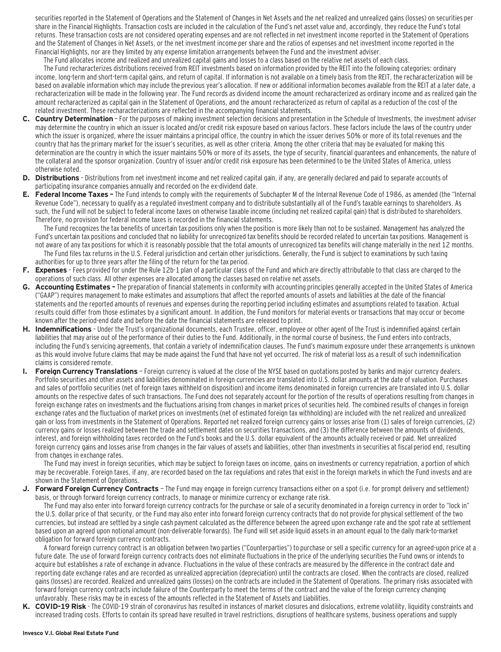securities reported in the Statement of Operations and the Statement of Changes in Net Assets and the net realized and unrealized gains (losses) on securities per share in the Financial Highlights. Transaction costs are included in the calculation of the Fund's net asset value and, accordingly, they reduce the Fund's total returns. These transaction costs are not considered operating expenses and are not reflected in net investment income reported in the Statement of Operations and the Statement of Changes in Net Assets, or the net investment income per share and the ratios of expenses and net investment income reported in the Financial Highlights, nor are they limited by any expense limitation arrangements between the Fund and the investment adviser.

The Fund allocates income and realized and unrealized capital gains and losses to a class based on the relative net assets of each class.

The Fund recharacterizes distributions received from REIT investments based on information provided by the REIT into the following categories: ordinary income, long-term and short-term capital gains, and return of capital. If information is not available on a timely basis from the REIT, the recharacterization will be based on available information which may include the previous year's allocation. If new or additional information becomes available from the REIT at a later date, a recharacterization will be made in the following year. The Fund records as dividend income the amount recharacterized as ordinary income and as realized gain the amount recharacterized as capital gain in the Statement of Operations, and the amount recharacterized as return of capital as a reduction of the cost of the related investment. These recharacterizations are reflected in the accompanying financial statements.

- **C. Country Determination**  For the purposes of making investment selection decisions and presentation in the Schedule of Investments, the investment adviser may determine the country in which an issuer is located and/or credit risk exposure based on various factors. These factors include the laws of the country under which the issuer is organized, where the issuer maintains a principal office, the country in which the issuer derives 50% or more of its total revenues and the country that has the primary market for the issuer's securities, as well as other criteria. Among the other criteria that may be evaluated for making this determination are the country in which the issuer maintains 50% or more of its assets, the type of security, financial guarantees and enhancements, the nature of the collateral and the sponsor organization. Country of issuer and/or credit risk exposure has been determined to be the United States of America, unless otherwise noted.
- **D. Distributions**  Distributions from net investment income and net realized capital gain, if any, are generally declared and paid to separate accounts of participating insurance companies annually and recorded on the ex-dividend date.
- **E. Federal Income Taxes** The Fund intends to comply with the requirements of Subchapter M of the Internal Revenue Code of 1986, as amended (the "Internal Revenue Code"), necessary to qualify as a regulated investment company and to distribute substantially all of the Fund's taxable earnings to shareholders. As such, the Fund will not be subject to federal income taxes on otherwise taxable income (including net realized capital gain) that is distributed to shareholders. Therefore, no provision for federal income taxes is recorded in the financial statements.

The Fund recognizes the tax benefits of uncertain tax positions only when the position is more likely than not to be sustained. Management has analyzed the Fund's uncertain tax positions and concluded that no liability for unrecognized tax benefits should be recorded related to uncertain tax positions. Management is not aware of any tax positions for which it is reasonably possible that the total amounts of unrecognized tax benefits will change materially in the next 12 months. The Fund files tax returns in the U.S. Federal jurisdiction and certain other jurisdictions. Generally, the Fund is subject to examinations by such taxing authorities for up to three years after the filing of the return for the tax period.

- **F. Expenses**  Fees provided for under the Rule 12b-1 plan of a particular class of the Fund and which are directly attributable to that class are charged to the operations of such class. All other expenses are allocated among the classes based on relative net assets.
- **G. Accounting Estimates** The preparation of financial statements in conformity with accounting principles generally accepted in the United States of America ("GAAP") requires management to make estimates and assumptions that affect the reported amounts of assets and liabilities at the date of the financial statements and the reported amounts of revenues and expenses during the reporting period including estimates and assumptions related to taxation. Actual results could differ from those estimates by a significant amount. In addition, the Fund monitors for material events or transactions that may occur or become known after the period-end date and before the date the financial statements are released to print.
- **H. Indemnifications**  Under the Trust's organizational documents, each Trustee, officer, employee or other agent of the Trust is indemnified against certain liabilities that may arise out of the performance of their duties to the Fund. Additionally, in the normal course of business, the Fund enters into contracts, including the Fund's servicing agreements, that contain a variety of indemnification clauses. The Fund's maximum exposure under these arrangements is unknown as this would involve future claims that may be made against the Fund that have not yet occurred. The risk of material loss as a result of such indemnification claims is considered remote.
- **I. Foreign Currency Translations**  Foreign currency is valued at the close of the NYSE based on quotations posted by banks and major currency dealers. Portfolio securities and other assets and liabilities denominated in foreign currencies are translated into U.S. dollar amounts at the date of valuation. Purchases and sales of portfolio securities (net of foreign taxes withheld on disposition) and income items denominated in foreign currencies are translated into U.S. dollar amounts on the respective dates of such transactions. The Fund does not separately account for the portion of the results of operations resulting from changes in foreign exchange rates on investments and the fluctuations arising from changes in market prices of securities held. The combined results of changes in foreign exchange rates and the fluctuation of market prices on investments (net of estimated foreign tax withholding) are included with the net realized and unrealized gain or loss from investments in the Statement of Operations. Reported net realized foreign currency gains or losses arise from (1) sales of foreign currencies, (2) currency gains or losses realized between the trade and settlement dates on securities transactions, and (3) the difference between the amounts of dividends, interest, and foreign withholding taxes recorded on the Fund's books and the U.S. dollar equivalent of the amounts actually received or paid. Net unrealized foreign currency gains and losses arise from changes in the fair values of assets and liabilities, other than investments in securities at fiscal period end, resulting from changes in exchange rates.

The Fund may invest in foreign securities, which may be subject to foreign taxes on income, gains on investments or currency repatriation, a portion of which may be recoverable. Foreign taxes, if any, are recorded based on the tax regulations and rates that exist in the foreign markets in which the Fund invests and are shown in the Statement of Operations.

**J. Forward Foreign Currency Contracts** — The Fund may engage in foreign currency transactions either on a spot (i.e. for prompt delivery and settlement) basis, or through forward foreign currency contracts, to manage or minimize currency or exchange rate risk.

The Fund may also enter into forward foreign currency contracts for the purchase or sale of a security denominated in a foreign currency in order to "lock in" the U.S. dollar price of that security, or the Fund may also enter into forward foreign currency contracts that do not provide for physical settlement of the two currencies, but instead are settled by a single cash payment calculated as the difference between the agreed upon exchange rate and the spot rate at settlement based upon an agreed upon notional amount (non-deliverable forwards). The Fund will set aside liquid assets in an amount equal to the daily mark-to-market obligation for forward foreign currency contracts.

A forward foreign currency contract is an obligation between two parties ("Counterparties") to purchase or sell a specific currency for an agreed-upon price at a future date. The use of forward foreign currency contracts does not eliminate fluctuations in the price of the underlying securities the Fund owns or intends to acquire but establishes a rate of exchange in advance. Fluctuations in the value of these contracts are measured by the difference in the contract date and reporting date exchange rates and are recorded as unrealized appreciation (depreciation) until the contracts are closed. When the contracts are closed, realized gains (losses) are recorded. Realized and unrealized gains (losses) on the contracts are included in the Statement of Operations. The primary risks associated with forward foreign currency contracts include failure of the Counterparty to meet the terms of the contract and the value of the foreign currency changing unfavorably. These risks may be in excess of the amounts reflected in the Statement of Assets and Liabilities.

**K. COVID-19 Risk** - The COVID-19 strain of coronavirus has resulted in instances of market closures and dislocations, extreme volatility, liquidity constraints and increased trading costs. Efforts to contain its spread have resulted in travel restrictions, disruptions of healthcare systems, business operations and supply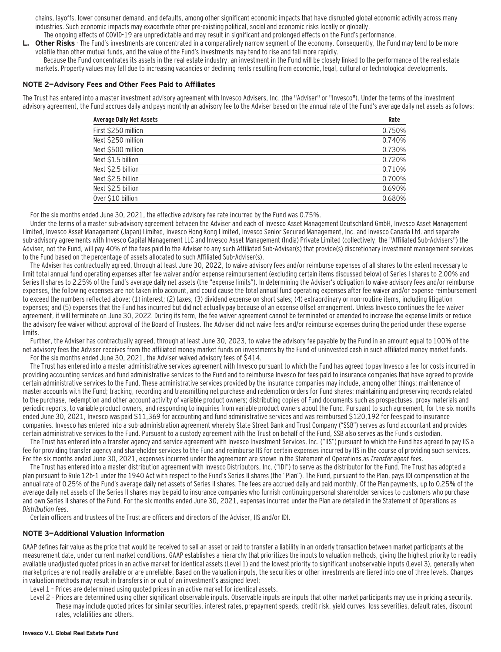chains, layoffs, lower consumer demand, and defaults, among other significant economic impacts that have disrupted global economic activity across many industries. Such economic impacts may exacerbate other pre-existing political, social and economic risks locally or globally.

- The ongoing effects of COVID-19 are unpredictable and may result in significant and prolonged effects on the Fund's performance.
- **Other Risks** The Fund's investments are concentrated in a comparatively narrow segment of the economy. Consequently, the Fund may tend to be more volatile than other mutual funds, and the value of the Fund's investments may tend to rise and fall more rapidly.

Because the Fund concentrates its assets in the real estate industry, an investment in the Fund will be closely linked to the performance of the real estate markets. Property values may fall due to increasing vacancies or declining rents resulting from economic, legal, cultural or technological developments.

#### **NOTE 2—Advisory Fees and Other Fees Paid to Affiliates**

The Trust has entered into a master investment advisory agreement with Invesco Advisers, Inc. (the "Adviser" or "Invesco"). Under the terms of the investment advisory agreement, the Fund accrues daily and pays monthly an advisory fee to the Adviser based on the annual rate of the Fund's average daily net assets as follows:

| <b>Average Daily Net Assets</b> | Rate   |
|---------------------------------|--------|
| First \$250 million             | 0.750% |
| Next \$250 million              | 0.740% |
| Next \$500 million              | 0.730% |
| Next \$1.5 billion              | 0.720% |
| Next \$2.5 billion              | 0.710% |
| Next \$2.5 billion              | 0.700% |
| Next \$2.5 billion              | 0.690% |
| Over \$10 billion               | 0.680% |

For the six months ended June 30, 2021, the effective advisory fee rate incurred by the Fund was 0.75%.

Under the terms of a master sub-advisory agreement between the Adviser and each of Invesco Asset Management Deutschland GmbH, Invesco Asset Management Limited, Invesco Asset Management (Japan) Limited, Invesco Hong Kong Limited, Invesco Senior Secured Management, Inc. and Invesco Canada Ltd. and separate sub-advisory agreements with Invesco Capital Management LLC and Invesco Asset Management (India) Private Limited (collectively, the "Affiliated Sub-Advisers") the Adviser, not the Fund, will pay 40% of the fees paid to the Adviser to any such Affiliated Sub-Adviser(s) that provide(s) discretionary investment management services to the Fund based on the percentage of assets allocated to such Affiliated Sub-Adviser(s).

The Adviser has contractually agreed, through at least June 30, 2022, to waive advisory fees and/or reimburse expenses of all shares to the extent necessary to limit total annual fund operating expenses after fee waiver and/or expense reimbursement (excluding certain items discussed below) of Series I shares to 2.00% and Series II shares to 2.25% of the Fund's average daily net assets (the "expense limits"). In determining the Adviser's obligation to waive advisory fees and/or reimburse expenses, the following expenses are not taken into account, and could cause the total annual fund operating expenses after fee waiver and/or expense reimbursement to exceed the numbers reflected above: (1) interest; (2) taxes; (3) dividend expense on short sales; (4) extraordinary or non-routine items, including litigation expenses; and (5) expenses that the Fund has incurred but did not actually pay because of an expense offset arrangement. Unless Invesco continues the fee waiver agreement, it will terminate on June 30, 2022. During its term, the fee waiver agreement cannot be terminated or amended to increase the expense limits or reduce the advisory fee waiver without approval of the Board of Trustees. The Adviser did not waive fees and/or reimburse expenses during the period under these expense limits.

Further, the Adviser has contractually agreed, through at least June 30, 2023, to waive the advisory fee payable by the Fund in an amount equal to 100% of the net advisory fees the Adviser receives from the affiliated money market funds on investments by the Fund of uninvested cash in such affiliated money market funds. For the six months ended June 30, 2021, the Adviser waived advisory fees of \$414.

The Trust has entered into a master administrative services agreement with Invesco pursuant to which the Fund has agreed to pay Invesco a fee for costs incurred in providing accounting services and fund administrative services to the Fund and to reimburse Invesco for fees paid to insurance companies that have agreed to provide certain administrative services to the Fund. These administrative services provided by the insurance companies may include, among other things: maintenance of master accounts with the Fund; tracking, recording and transmitting net purchase and redemption orders for Fund shares; maintaining and preserving records related to the purchase, redemption and other account activity of variable product owners; distributing copies of Fund documents such as prospectuses, proxy materials and periodic reports, to variable product owners, and responding to inquiries from variable product owners about the Fund. Pursuant to such agreement, for the six months ended June 30, 2021, Invesco was paid \$11,369 for accounting and fund administrative services and was reimbursed \$120,192 for fees paid to insurance companies. Invesco has entered into a sub-administration agreement whereby State Street Bank and Trust Company ("SSB") serves as fund accountant and provides certain administrative services to the Fund. Pursuant to a custody agreement with the Trust on behalf of the Fund, SSB also serves as the Fund's custodian.

The Trust has entered into a transfer agency and service agreement with Invesco Investment Services, Inc. ("IIS") pursuant to which the Fund has agreed to pay IIS a fee for providing transfer agency and shareholder services to the Fund and reimburse IIS for certain expenses incurred by IIS in the course of providing such services. For the six months ended June 30, 2021, expenses incurred under the agreement are shown in the Statement of Operations as Transfer agent fees.

The Trust has entered into a master distribution agreement with Invesco Distributors, Inc. ("IDI") to serve as the distributor for the Fund. The Trust has adopted a plan pursuant to Rule 12b-1 under the 1940 Act with respect to the Fund's Series II shares (the "Plan"). The Fund, pursuant to the Plan, pays IDI compensation at the annual rate of 0.25% of the Fund's average daily net assets of Series II shares. The fees are accrued daily and paid monthly. Of the Plan payments, up to 0.25% of the average daily net assets of the Series II shares may be paid to insurance companies who furnish continuing personal shareholder services to customers who purchase and own Series II shares of the Fund. For the six months ended June 30, 2021, expenses incurred under the Plan are detailed in the Statement of Operations as Distribution fees.

Certain officers and trustees of the Trust are officers and directors of the Adviser, IIS and/or IDI.

#### **NOTE 3—Additional Valuation Information**

GAAP defines fair value as the price that would be received to sell an asset or paid to transfer a liability in an orderly transaction between market participants at the measurement date, under current market conditions. GAAP establishes a hierarchy that prioritizes the inputs to valuation methods, giving the highest priority to readily available unadjusted quoted prices in an active market for identical assets (Level 1) and the lowest priority to significant unobservable inputs (Level 3), generally when market prices are not readily available or are unreliable. Based on the valuation inputs, the securities or other investments are tiered into one of three levels. Changes in valuation methods may result in transfers in or out of an investment's assigned level:

- Level 1 Prices are determined using quoted prices in an active market for identical assets.
- Level 2 Prices are determined using other significant observable inputs. Observable inputs are inputs that other market participants may use in pricing a security. These may include quoted prices for similar securities, interest rates, prepayment speeds, credit risk, yield curves, loss severities, default rates, discount rates, volatilities and others.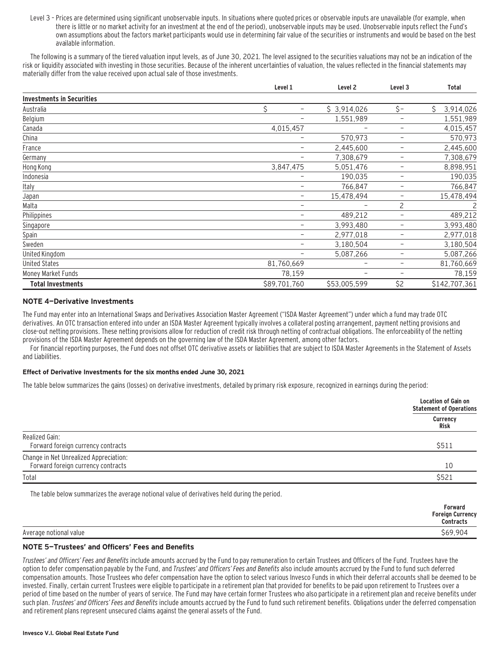Level 3 – Prices are determined using significant unobservable inputs. In situations where quoted prices or observable inputs are unavailable (for example, when there is little or no market activity for an investment at the end of the period), unobservable inputs may be used. Unobservable inputs reflect the Fund's own assumptions about the factors market participants would use in determining fair value of the securities or instruments and would be based on the best available information.

The following is a summary of the tiered valuation input levels, as of June 30, 2021. The level assigned to the securities valuations may not be an indication of the risk or liquidity associated with investing in those securities. Because of the inherent uncertainties of valuation, the values reflected in the financial statements may materially differ from the value received upon actual sale of those investments.

|                                  | Level 1                        | Level <sub>2</sub>       | Level 3                  | <b>Total</b>   |
|----------------------------------|--------------------------------|--------------------------|--------------------------|----------------|
| <b>Investments in Securities</b> |                                |                          |                          |                |
| Australia                        | \$<br>$\overline{\phantom{m}}$ | \$3,914,026              | $\zeta$ -                | Ś<br>3,914,026 |
| Belgium                          | -                              | 1,551,989                | $\qquad \qquad -$        | 1,551,989      |
| Canada                           | 4,015,457                      |                          | $\overline{\phantom{0}}$ | 4,015,457      |
| China                            | -                              | 570,973                  | $\overline{\phantom{0}}$ | 570,973        |
| France                           | -                              | 2,445,600                | $\overline{\phantom{m}}$ | 2,445,600      |
| Germany                          | -                              | 7,308,679                | $\qquad \qquad -$        | 7,308,679      |
| Hong Kong                        | 3,847,475                      | 5,051,476                | $\overline{\phantom{m}}$ | 8,898,951      |
| Indonesia                        |                                | 190,035                  | $\overline{\phantom{m}}$ | 190,035        |
| Italy                            | -                              | 766,847                  | $\overline{\phantom{m}}$ | 766,847        |
| Japan                            | -                              | 15,478,494               | $\qquad \qquad -$        | 15,478,494     |
| Malta                            | -                              |                          | 2                        | 2              |
| Philippines                      | -                              | 489,212                  | $\qquad \qquad -$        | 489,212        |
| Singapore                        | -                              | 3,993,480                | $\qquad \qquad -$        | 3,993,480      |
| Spain                            | $\overline{\phantom{m}}$       | 2,977,018                | $\overline{\phantom{m}}$ | 2,977,018      |
| Sweden                           | -                              | 3,180,504                | $\overline{\phantom{m}}$ | 3,180,504      |
| United Kingdom                   | -                              | 5,087,266                | $\overline{\phantom{m}}$ | 5,087,266      |
| <b>United States</b>             | 81,760,669                     | $\overline{\phantom{m}}$ | $\qquad \qquad -$        | 81,760,669     |
| Money Market Funds               | 78,159                         | -                        | $\overline{\phantom{0}}$ | 78,159         |
| <b>Total Investments</b>         | \$89,701,760                   | \$53,005,599             | \$2                      | \$142,707,361  |

### **NOTE 4—Derivative Investments**

The Fund may enter into an International Swaps and Derivatives Association Master Agreement ("ISDA Master Agreement") under which a fund may trade OTC derivatives. An OTC transaction entered into under an ISDA Master Agreement typically involves a collateral posting arrangement, payment netting provisions and close-out netting provisions. These netting provisions allow for reduction of credit risk through netting of contractual obligations. The enforceability of the netting provisions of the ISDA Master Agreement depends on the governing law of the ISDA Master Agreement, among other factors.

For financial reporting purposes, the Fund does not offset OTC derivative assets or liabilities that are subject to ISDA Master Agreements in the Statement of Assets and Liabilities.

### **Effect of Derivative Investments for the six months ended June 30, 2021**

The table below summarizes the gains (losses) on derivative investments, detailed by primary risk exposure, recognized in earnings during the period:

|                                                                              | <b>Location of Gain on</b><br><b>Statement of Operations</b> |
|------------------------------------------------------------------------------|--------------------------------------------------------------|
|                                                                              | Currency<br>Risk                                             |
| Realized Gain:<br>Forward foreign currency contracts                         | \$511                                                        |
| Change in Net Unrealized Appreciation:<br>Forward foreign currency contracts | 10                                                           |
| Total                                                                        | \$521                                                        |

The table below summarizes the average notional value of derivatives held during the period.

|                        | Forward<br><b>Foreign Currency</b><br><b>Contracts</b> |
|------------------------|--------------------------------------------------------|
| Average notional value | \$69,904                                               |

### **NOTE 5—Trustees' and Officers' Fees and Benefits**

Trustees' and Officers' Fees and Benefits include amounts accrued by the Fund to pay remuneration to certain Trustees and Officers of the Fund. Trustees have the option to defer compensation payable by the Fund, and Trustees' and Officers' Fees and Benefits also include amounts accrued by the Fund to fund such deferred compensation amounts. Those Trustees who defer compensation have the option to select various Invesco Funds in which their deferral accounts shall be deemed to be invested. Finally, certain current Trustees were eligible to participate in a retirement plan that provided for benefits to be paid upon retirement to Trustees over a period of time based on the number of years of service. The Fund may have certain former Trustees who also participate in a retirement plan and receive benefits under such plan. Trustees' and Officers' Fees and Benefits include amounts accrued by the Fund to fund such retirement benefits. Obligations under the deferred compensation and retirement plans represent unsecured claims against the general assets of the Fund.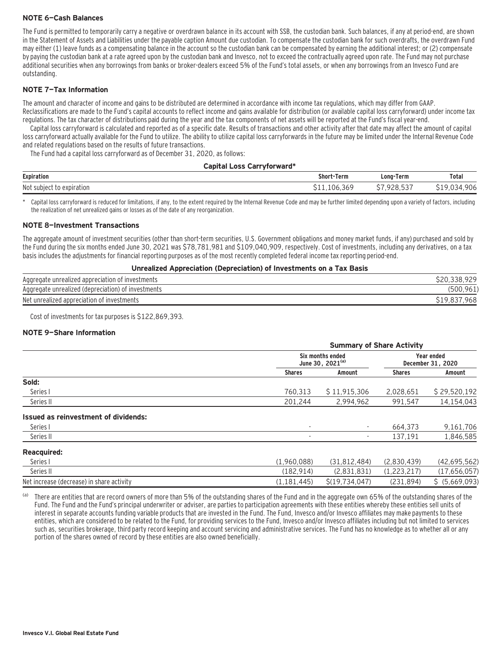### **NOTE 6—Cash Balances**

The Fund is permitted to temporarily carry a negative or overdrawn balance in its account with SSB, the custodian bank. Such balances, if any at period-end, are shown in the Statement of Assets and Liabilities under the payable caption Amount due custodian. To compensate the custodian bank for such overdrafts, the overdrawn Fund may either (1) leave funds as a compensating balance in the account so the custodian bank can be compensated by earning the additional interest; or (2) compensate by paying the custodian bank at a rate agreed upon by the custodian bank and Invesco, not to exceed the contractually agreed upon rate. The Fund may not purchase additional securities when any borrowings from banks or broker-dealers exceed 5% of the Fund's total assets, or when any borrowings from an Invesco Fund are outstanding.

### **NOTE 7—Tax Information**

The amount and character of income and gains to be distributed are determined in accordance with income tax regulations, which may differ from GAAP. Reclassifications are made to the Fund's capital accounts to reflect income and gains available for distribution (or available capital loss carryforward) under income tax regulations. The tax character of distributions paid during the year and the tax components of net assets will be reported at the Fund's fiscal year-end.

Capital loss carryforward is calculated and reported as of a specific date. Results of transactions and other activity after that date may affect the amount of capital loss carryforward actually available for the Fund to utilize. The ability to utilize capital loss carryforwards in the future may be limited under the Internal Revenue Code and related regulations based on the results of future transactions.

The Fund had a capital loss carryforward as of December 31, 2020, as follows:

#### **Capital Loss Carryforward\***

| <b>Expiration</b>                             | Term<br>Shor                    | Long-<br>Term<br>the contract of the contract of    | Total              |
|-----------------------------------------------|---------------------------------|-----------------------------------------------------|--------------------|
| Not<br><b>AVBILATION</b><br>.<br>dliul<br>CAU | $\epsilon$<br>Ü6<br>,36°<br>. . | $- - -$<br>$\sim$ $\sim$ $\sim$<br>. .<br>. u , u u | . OC<br>YUC<br>. . |

Capital loss carryforward is reduced for limitations, if any, to the extent required by the Internal Revenue Code and may be further limited depending upon a variety of factors, including the realization of net unrealized gains or losses as of the date of any reorganization.

#### **NOTE 8—Investment Transactions**

The aggregate amount of investment securities (other than short-term securities, U.S. Government obligations and money market funds, if any) purchased and sold by the Fund during the six months ended June 30, 2021 was \$78,781,981 and \$109,040,909, respectively. Cost of investments, including any derivatives, on a tax basis includes the adjustments for financial reporting purposes as of the most recently completed federal income tax reporting period-end.

#### **Unrealized Appreciation (Depreciation) of Investments on a Tax Basis**

| Aggregate unrealized appreciation of investments   |                       |
|----------------------------------------------------|-----------------------|
| Aggregate unrealized (depreciation) of investments |                       |
| Net unrealized appreciation of investments         | 968<br><u> 717,00</u> |

Cost of investments for tax purposes is \$122,869,393.

### **NOTE 9—Share Information**

|                                           |                          | <b>Summary of Share Activity</b>                 |               |                                 |  |  |  |
|-------------------------------------------|--------------------------|--------------------------------------------------|---------------|---------------------------------|--|--|--|
|                                           |                          | Six months ended<br>June 30, 2021 <sup>(a)</sup> |               | Year ended<br>December 31, 2020 |  |  |  |
|                                           | <b>Shares</b>            | Amount                                           | <b>Shares</b> | Amount                          |  |  |  |
| Sold:                                     |                          |                                                  |               |                                 |  |  |  |
| Series I                                  | 760,313                  | \$11,915,306                                     | 2,028,651     | \$29,520,192                    |  |  |  |
| Series II                                 | 201,244                  | 2,994,962                                        | 991,547       | 14,154,043                      |  |  |  |
| Issued as reinvestment of dividends:      |                          |                                                  |               |                                 |  |  |  |
| Series I                                  | $\overline{\phantom{a}}$ | $\overline{\phantom{a}}$                         | 664.373       | 9,161,706                       |  |  |  |
| Series II                                 |                          |                                                  | 137.191       | 1,846,585                       |  |  |  |
| <b>Reacquired:</b>                        |                          |                                                  |               |                                 |  |  |  |
| Series I                                  | (1,960,088)              | (31, 812, 484)                                   | (2,830,439)   | (42,695,562)                    |  |  |  |
| Series II                                 | (182, 914)               | (2,831,831)                                      | (1,223,217)   | (17,656,057)                    |  |  |  |
| Net increase (decrease) in share activity | (1, 181, 445)            | S(19.734.047)                                    | (231, 894)    | \$ (5,669,093)                  |  |  |  |

(a) There are entities that are record owners of more than 5% of the outstanding shares of the Fund and in the aggregate own 65% of the outstanding shares of the Fund. The Fund and the Fund's principal underwriter or adviser, are parties to participation agreements with these entities whereby these entities sell units of interest in separate accounts funding variable products that are invested in the Fund. The Fund, Invesco and/or Invesco affiliates may make payments to these entities, which are considered to be related to the Fund, for providing services to the Fund, Invesco and/or Invesco affiliates including but not limited to services such as, securities brokerage, third party record keeping and account servicing and administrative services. The Fund has no knowledge as to whether all or any portion of the shares owned of record by these entities are also owned beneficially.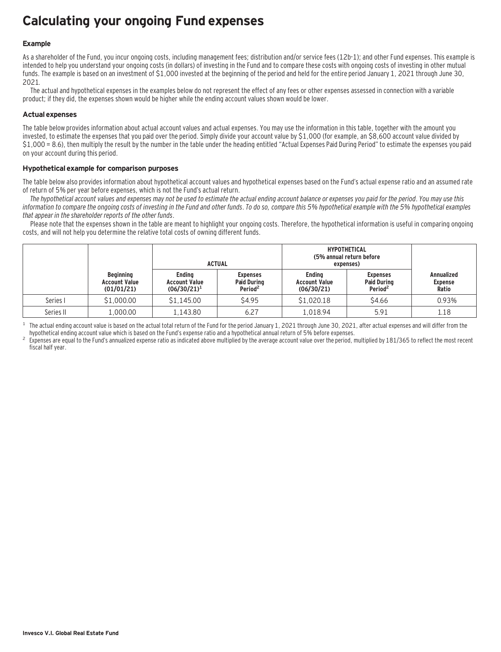# **Calculating your ongoing Fund expenses**

### **Example**

As a shareholder of the Fund, you incur ongoing costs, including management fees; distribution and/or service fees (12b-1); and other Fund expenses. This example is intended to help you understand your ongoing costs (in dollars) of investing in the Fund and to compare these costs with ongoing costs of investing in other mutual funds. The example is based on an investment of \$1,000 invested at the beginning of the period and held for the entire period January 1, 2021 through June 30, 2021.

The actual and hypothetical expenses in the examples below do not represent the effect of any fees or other expenses assessed in connection with a variable product; if they did, the expenses shown would be higher while the ending account values shown would be lower.

### **Actual expenses**

The table below provides information about actual account values and actual expenses. You may use the information in this table, together with the amount you invested, to estimate the expenses that you paid over the period. Simply divide your account value by \$1,000 (for example, an \$8,600 account value divided by \$1,000 = 8.6), then multiply the result by the number in the table under the heading entitled "Actual Expenses Paid During Period" to estimate the expenses you paid on your account during this period.

### **Hypothetical example for comparison purposes**

The table below also provides information about hypothetical account values and hypothetical expenses based on the Fund's actual expense ratio and an assumed rate of return of 5% per year before expenses, which is not the Fund's actual return.

The hypothetical account values and expenses may not be used to estimate the actual ending account balance or expenses you paid for the period. You may use this information to compare the ongoing costs of investing in the Fund and other funds. To do so, compare this 5% hypothetical example with the 5% hypothetical examples that appear in the shareholder reports of the other funds.

Please note that the expenses shown in the table are meant to highlight your ongoing costs. Therefore, the hypothetical information is useful in comparing ongoing costs, and will not help you determine the relative total costs of owning different funds.

|           |                                                        |                                                         | <b>ACTUAL</b>                                                | <b>HYPOTHETICAL</b><br>(5% annual return before<br>expenses) |                                                              |                                              |
|-----------|--------------------------------------------------------|---------------------------------------------------------|--------------------------------------------------------------|--------------------------------------------------------------|--------------------------------------------------------------|----------------------------------------------|
|           | <b>Beginning</b><br><b>Account Value</b><br>(01/01/21) | <b>Ending</b><br><b>Account Value</b><br>$(06/30/21)^1$ | <b>Expenses</b><br><b>Paid During</b><br>Period <sup>2</sup> | Endina<br><b>Account Value</b><br>(06/30/21)                 | <b>Expenses</b><br><b>Paid During</b><br>Period <sup>2</sup> | <b>Annualized</b><br><b>Expense</b><br>Ratio |
| Series I  | \$1,000.00                                             | \$1,145.00                                              | \$4.95                                                       | \$1,020.18                                                   | \$4.66                                                       | 0.93%                                        |
| Series II | 1,000.00                                               | 1.143.80                                                | 6.27                                                         | 1.018.94                                                     | 5.91                                                         | 1.18                                         |

<sup>1</sup> The actual ending account value is based on the actual total return of the Fund for the period January 1, 2021 through June 30, 2021, after actual expenses and will differ from the hund's expense ratio and a hypothetic

Expenses are equal to the Fund's annualized expense ratio as indicated above multiplied by the average account value over the period, multiplied by 181/365 to reflect the most recent fiscal half year.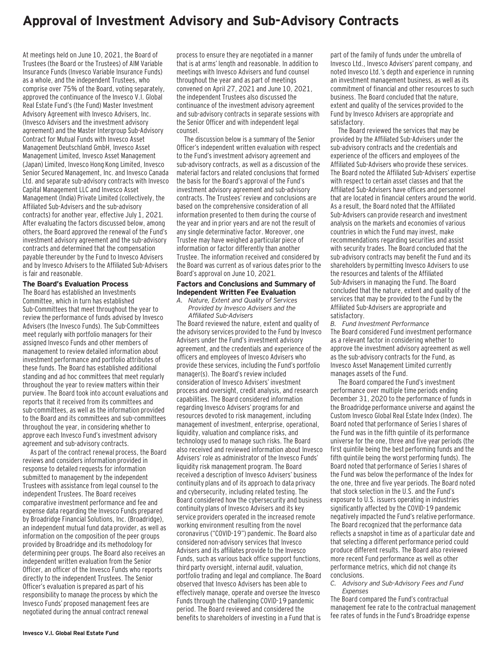# **Approval of Investment Advisory and Sub-Advisory Contracts**

At meetings held on June 10, 2021, the Board of Trustees (the Board or the Trustees) of AIM Variable Insurance Funds (Invesco Variable Insurance Funds) as a whole, and the independent Trustees, who comprise over 75% of the Board, voting separately, approved the continuance of the Invesco V.I. Global Real Estate Fund's (the Fund) Master Investment Advisory Agreement with Invesco Advisers, Inc. (Invesco Advisers and the investment advisory agreement) and the Master Intergroup Sub-Advisory Contract for Mutual Funds with Invesco Asset Management Deutschland GmbH, Invesco Asset Management Limited, Invesco Asset Management (Japan) Limited, Invesco Hong Kong Limited, Invesco Senior Secured Management, Inc. and Invesco Canada Ltd. and separate sub-advisory contracts with Invesco Capital Management LLC and Invesco Asset Management (India) Private Limited (collectively, the Affiliated Sub-Advisers and the sub-advisory contracts) for another year, effective July 1, 2021. After evaluating the factors discussed below, among others, the Board approved the renewal of the Fund's investment advisory agreement and the sub-advisory contracts and determined that the compensation payable thereunder by the Fund to Invesco Advisers and by Invesco Advisers to the Affiliated Sub-Advisers is fair and reasonable.

#### **The Board's Evaluation Process**

The Board has established an Investments Committee, which in turn has established Sub-Committees that meet throughout the year to review the performance of funds advised by Invesco Advisers (the Invesco Funds). The Sub-Committees meet regularly with portfolio managers for their assigned Invesco Funds and other members of management to review detailed information about investment performance and portfolio attributes of these funds. The Board has established additional standing and ad hoc committees that meet regularly throughout the year to review matters within their purview. The Board took into account evaluations and reports that it received from its committees and sub-committees, as well as the information provided to the Board and its committees and sub-committees throughout the year, in considering whether to approve each Invesco Fund's investment advisory agreement and sub-advisory contracts.

As part of the contract renewal process, the Board reviews and considers information provided in response to detailed requests for information submitted to management by the independent Trustees with assistance from legal counsel to the independent Trustees. The Board receives comparative investment performance and fee and expense data regarding the Invesco Funds prepared by Broadridge Financial Solutions, Inc. (Broadridge), an independent mutual fund data provider, as well as information on the composition of the peer groups provided by Broadridge and its methodology for determining peer groups. The Board also receives an independent written evaluation from the Senior Officer, an officer of the Invesco Funds who reports directly to the independent Trustees. The Senior Officer's evaluation is prepared as part of his responsibility to manage the process by which the Invesco Funds' proposed management fees are negotiated during the annual contract renewal

process to ensure they are negotiated in a manner that is at arms' length and reasonable. In addition to meetings with Invesco Advisers and fund counsel throughout the year and as part of meetings convened on April 27, 2021 and June 10, 2021, the independent Trustees also discussed the continuance of the investment advisory agreement and sub-advisory contracts in separate sessions with the Senior Officer and with independent legal counsel.

The discussion below is a summary of the Senior Officer's independent written evaluation with respect to the Fund's investment advisory agreement and sub-advisory contracts, as well as a discussion of the material factors and related conclusions that formed the basis for the Board's approval of the Fund's investment advisory agreement and sub-advisory contracts. The Trustees' review and conclusions are based on the comprehensive consideration of all information presented to them during the course of the year and in prior years and are not the result of any single determinative factor. Moreover, one Trustee may have weighed a particular piece of information or factor differently than another Trustee. The information received and considered by the Board was current as of various dates prior to the Board's approval on June 10, 2021.

#### **Factors and Conclusions and Summary of Independent Written Fee Evaluation**

*A. Nature, Extent and Quality of Services Provided by Invesco Advisers and the Affiliated Sub-Advisers*

The Board reviewed the nature, extent and quality of the advisory services provided to the Fund by Invesco Advisers under the Fund's investment advisory agreement, and the credentials and experience of the officers and employees of Invesco Advisers who provide these services, including the Fund's portfolio manager(s). The Board's review included consideration of Invesco Advisers' investment process and oversight, credit analysis, and research capabilities. The Board considered information regarding Invesco Advisers' programs for and resources devoted to risk management, including management of investment, enterprise, operational, liquidity, valuation and compliance risks, and technology used to manage such risks. The Board also received and reviewed information about Invesco Advisers' role as administrator of the Invesco Funds' liquidity risk management program. The Board received a description of Invesco Advisers' business continuity plans and of its approach to data privacy and cybersecurity, including related testing. The Board considered how the cybersecurity and business continuity plans of Invesco Advisers and its key service providers operated in the increased remote working environment resulting from the novel coronavirus ("COVID-19") pandemic. The Board also considered non-advisory services that Invesco Advisers and its affiliates provide to the Invesco Funds, such as various back office support functions, third party oversight, internal audit, valuation, portfolio trading and legal and compliance. The Board observed that Invesco Advisers has been able to effectively manage, operate and oversee the Invesco Funds through the challenging COVID-19 pandemic period. The Board reviewed and considered the benefits to shareholders of investing in a Fund that is

part of the family of funds under the umbrella of Invesco Ltd., Invesco Advisers' parent company, and noted Invesco Ltd.'s depth and experience in running an investment management business, as well as its commitment of financial and other resources to such business. The Board concluded that the nature, extent and quality of the services provided to the Fund by Invesco Advisers are appropriate and satisfactory.

The Board reviewed the services that may be provided by the Affiliated Sub-Advisers under the sub-advisory contracts and the credentials and experience of the officers and employees of the Affiliated Sub-Advisers who provide these services. The Board noted the Affiliated Sub-Advisers' expertise with respect to certain asset classes and that the Affiliated Sub-Advisers have offices and personnel that are located in financial centers around the world. As a result, the Board noted that the Affiliated Sub-Advisers can provide research and investment analysis on the markets and economies of various countries in which the Fund may invest, make recommendations regarding securities and assist with security trades. The Board concluded that the sub-advisory contracts may benefit the Fund and its shareholders by permitting Invesco Advisers to use the resources and talents of the Affiliated Sub-Advisers in managing the Fund. The Board concluded that the nature, extent and quality of the services that may be provided to the Fund by the Affiliated Sub-Advisers are appropriate and satisfactory.

*B. Fund Investment Performance* The Board considered Fund investment performance as a relevant factor in considering whether to approve the investment advisory agreement as well as the sub-advisory contracts for the Fund, as Invesco Asset Management Limited currently manages assets of the Fund.

The Board compared the Fund's investment performance over multiple time periods ending December 31, 2020 to the performance of funds in the Broadridge performance universe and against the Custom Invesco Global Real Estate Index (Index). The Board noted that performance of Series I shares of the Fund was in the fifth quintile of its performance universe for the one, three and five year periods (the first quintile being the best performing funds and the fifth quintile being the worst performing funds). The Board noted that performance of Series I shares of the Fund was below the performance of the Index for the one, three and five year periods. The Board noted that stock selection in the U.S. and the Fund's exposure to U.S. issuers operating in industries significantly affected by the COVID-19 pandemic negatively impacted the Fund's relative performance. The Board recognized that the performance data reflects a snapshot in time as of a particular date and that selecting a different performance period could produce different results. The Board also reviewed more recent Fund performance as well as other performance metrics, which did not change its conclusions.

*C. Advisory and Sub-Advisory Fees and Fund Expenses*

The Board compared the Fund's contractual management fee rate to the contractual management fee rates of funds in the Fund's Broadridge expense